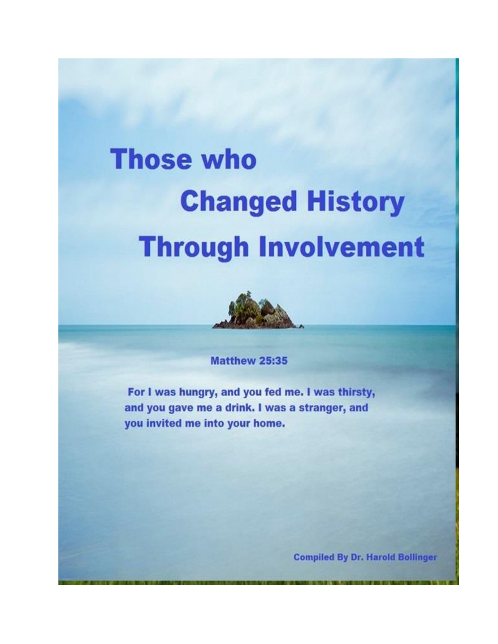# **Those who Changed History Through Involvement**



Matthew 25:35

For I was hungry, and you fed me. I was thirsty, and you gave me a drink. I was a stranger, and you invited me into your home.

**Compiled By Dr. Harold Bollinger**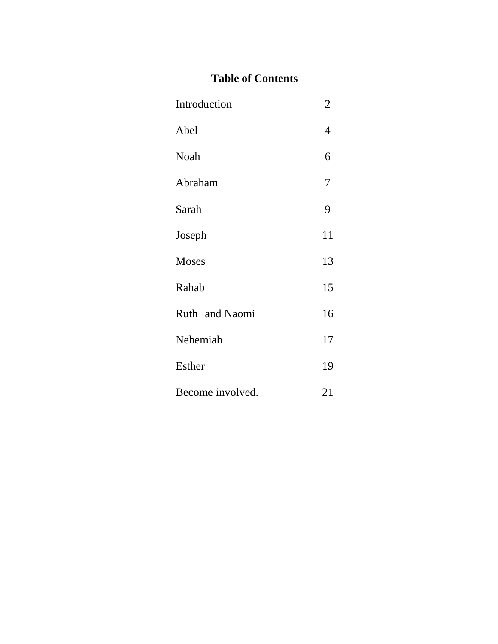# **Table of Contents**

| Introduction     | 2  |
|------------------|----|
| Abel             | 4  |
| Noah             | 6  |
| Abraham          | 7  |
| Sarah            | 9  |
| Joseph           | 11 |
| <b>Moses</b>     | 13 |
| Rahab            | 15 |
| Ruth and Naomi   | 16 |
| Nehemiah         | 17 |
| Esther           | 19 |
| Become involved. | 21 |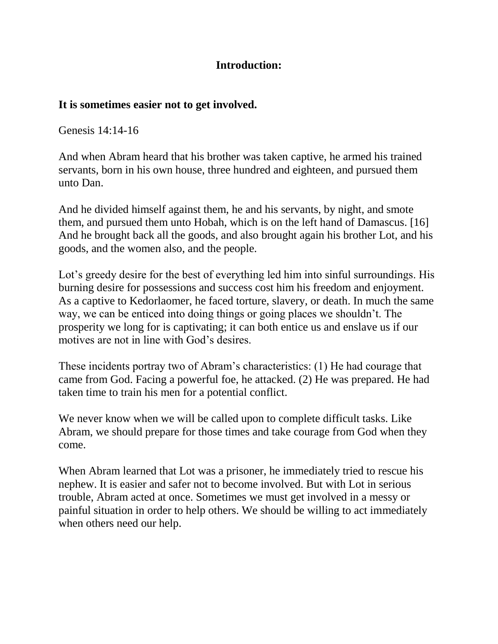## **Introduction:**

## **It is sometimes easier not to get involved.**

Genesis 14:14-16

And when Abram heard that his brother was taken captive, he armed his trained servants, born in his own house, three hundred and eighteen, and pursued them unto Dan.

And he divided himself against them, he and his servants, by night, and smote them, and pursued them unto Hobah, which is on the left hand of Damascus. [16] And he brought back all the goods, and also brought again his brother Lot, and his goods, and the women also, and the people.

Lot's greedy desire for the best of everything led him into sinful surroundings. His burning desire for possessions and success cost him his freedom and enjoyment. As a captive to Kedorlaomer, he faced torture, slavery, or death. In much the same way, we can be enticed into doing things or going places we shouldn't. The prosperity we long for is captivating; it can both entice us and enslave us if our motives are not in line with God's desires.

These incidents portray two of Abram's characteristics: (1) He had courage that came from God. Facing a powerful foe, he attacked. (2) He was prepared. He had taken time to train his men for a potential conflict.

We never know when we will be called upon to complete difficult tasks. Like Abram, we should prepare for those times and take courage from God when they come.

When Abram learned that Lot was a prisoner, he immediately tried to rescue his nephew. It is easier and safer not to become involved. But with Lot in serious trouble, Abram acted at once. Sometimes we must get involved in a messy or painful situation in order to help others. We should be willing to act immediately when others need our help.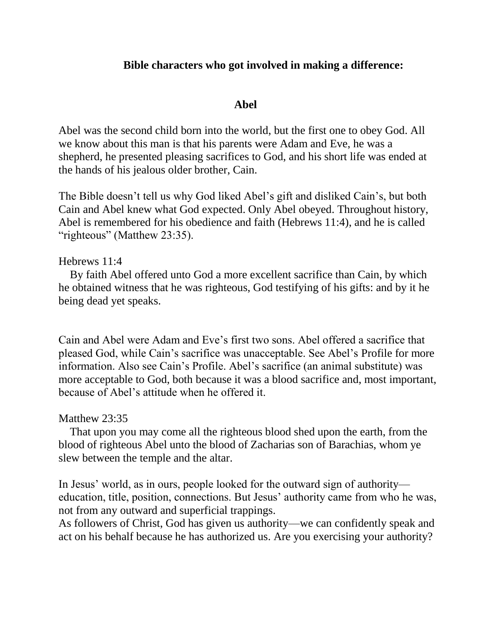## **Bible characters who got involved in making a difference:**

#### **Abel**

Abel was the second child born into the world, but the first one to obey God. All we know about this man is that his parents were Adam and Eve, he was a shepherd, he presented pleasing sacrifices to God, and his short life was ended at the hands of his jealous older brother, Cain.

The Bible doesn't tell us why God liked Abel's gift and disliked Cain's, but both Cain and Abel knew what God expected. Only Abel obeyed. Throughout history, Abel is remembered for his obedience and faith (Hebrews 11:4), and he is called "righteous" (Matthew 23:35).

#### Hebrews 11:4

 By faith Abel offered unto God a more excellent sacrifice than Cain, by which he obtained witness that he was righteous, God testifying of his gifts: and by it he being dead yet speaks.

Cain and Abel were Adam and Eve's first two sons. Abel offered a sacrifice that pleased God, while Cain's sacrifice was unacceptable. See Abel's Profile for more information. Also see Cain's Profile. Abel's sacrifice (an animal substitute) was more acceptable to God, both because it was a blood sacrifice and, most important, because of Abel's attitude when he offered it.

#### Matthew 23:35

 That upon you may come all the righteous blood shed upon the earth, from the blood of righteous Abel unto the blood of Zacharias son of Barachias, whom ye slew between the temple and the altar.

In Jesus' world, as in ours, people looked for the outward sign of authority education, title, position, connections. But Jesus' authority came from who he was, not from any outward and superficial trappings.

As followers of Christ, God has given us authority—we can confidently speak and act on his behalf because he has authorized us. Are you exercising your authority?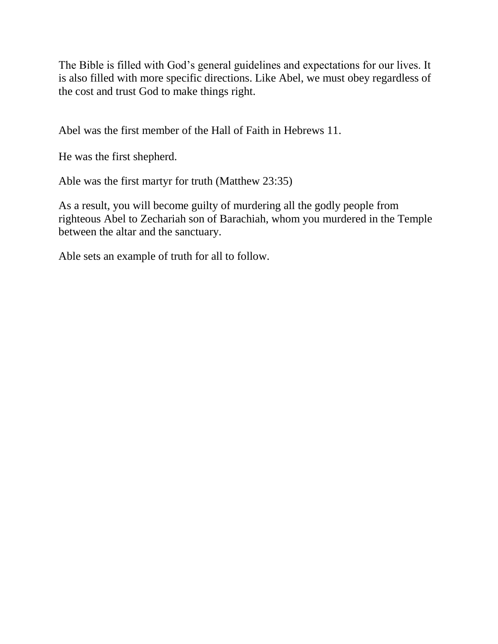The Bible is filled with God's general guidelines and expectations for our lives. It is also filled with more specific directions. Like Abel, we must obey regardless of the cost and trust God to make things right.

Abel was the first member of the Hall of Faith in Hebrews 11.

He was the first shepherd.

Able was the first martyr for truth (Matthew 23:35)

As a result, you will become guilty of murdering all the godly people from righteous Abel to Zechariah son of Barachiah, whom you murdered in the Temple between the altar and the sanctuary.

Able sets an example of truth for all to follow.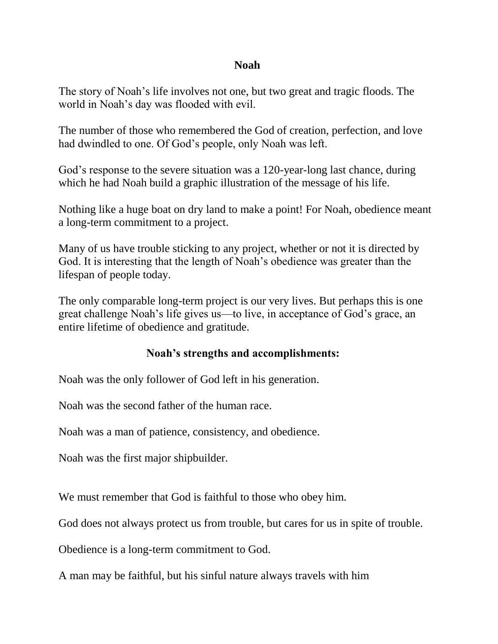## **Noah**

The story of Noah's life involves not one, but two great and tragic floods. The world in Noah's day was flooded with evil.

The number of those who remembered the God of creation, perfection, and love had dwindled to one. Of God's people, only Noah was left.

God's response to the severe situation was a 120-year-long last chance, during which he had Noah build a graphic illustration of the message of his life.

Nothing like a huge boat on dry land to make a point! For Noah, obedience meant a long-term commitment to a project.

Many of us have trouble sticking to any project, whether or not it is directed by God. It is interesting that the length of Noah's obedience was greater than the lifespan of people today.

The only comparable long-term project is our very lives. But perhaps this is one great challenge Noah's life gives us—to live, in acceptance of God's grace, an entire lifetime of obedience and gratitude.

## **Noah's strengths and accomplishments:**

Noah was the only follower of God left in his generation.

Noah was the second father of the human race.

Noah was a man of patience, consistency, and obedience.

Noah was the first major shipbuilder.

We must remember that God is faithful to those who obey him.

God does not always protect us from trouble, but cares for us in spite of trouble.

Obedience is a long-term commitment to God.

A man may be faithful, but his sinful nature always travels with him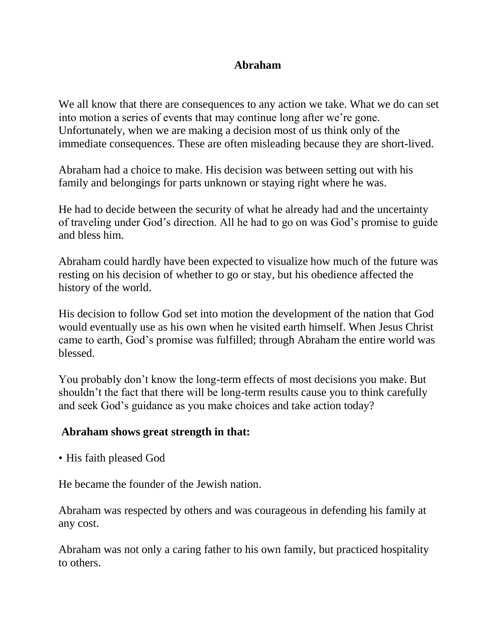## **Abraham**

We all know that there are consequences to any action we take. What we do can set into motion a series of events that may continue long after we're gone. Unfortunately, when we are making a decision most of us think only of the immediate consequences. These are often misleading because they are short-lived.

Abraham had a choice to make. His decision was between setting out with his family and belongings for parts unknown or staying right where he was.

He had to decide between the security of what he already had and the uncertainty of traveling under God's direction. All he had to go on was God's promise to guide and bless him.

Abraham could hardly have been expected to visualize how much of the future was resting on his decision of whether to go or stay, but his obedience affected the history of the world.

His decision to follow God set into motion the development of the nation that God would eventually use as his own when he visited earth himself. When Jesus Christ came to earth, God's promise was fulfilled; through Abraham the entire world was blessed.

You probably don't know the long-term effects of most decisions you make. But shouldn't the fact that there will be long-term results cause you to think carefully and seek God's guidance as you make choices and take action today?

## **Abraham shows great strength in that:**

• His faith pleased God

He became the founder of the Jewish nation.

Abraham was respected by others and was courageous in defending his family at any cost.

Abraham was not only a caring father to his own family, but practiced hospitality to others.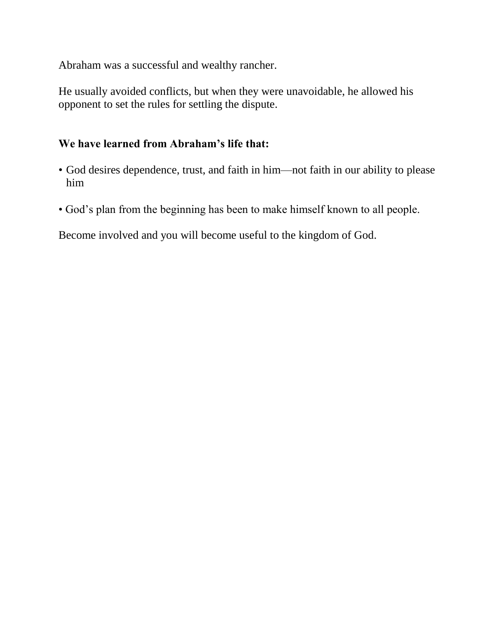Abraham was a successful and wealthy rancher.

He usually avoided conflicts, but when they were unavoidable, he allowed his opponent to set the rules for settling the dispute.

# **We have learned from Abraham's life that:**

- God desires dependence, trust, and faith in him—not faith in our ability to please him
- God's plan from the beginning has been to make himself known to all people.

Become involved and you will become useful to the kingdom of God.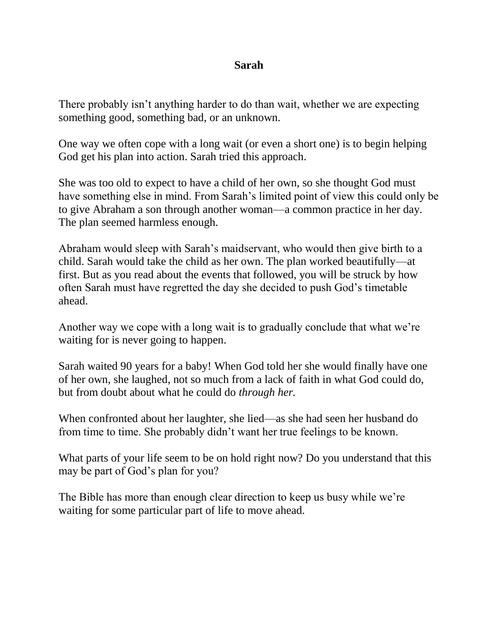## **Sarah**

There probably isn't anything harder to do than wait, whether we are expecting something good, something bad, or an unknown.

One way we often cope with a long wait (or even a short one) is to begin helping God get his plan into action. Sarah tried this approach.

She was too old to expect to have a child of her own, so she thought God must have something else in mind. From Sarah's limited point of view this could only be to give Abraham a son through another woman—a common practice in her day. The plan seemed harmless enough.

Abraham would sleep with Sarah's maidservant, who would then give birth to a child. Sarah would take the child as her own. The plan worked beautifully—at first. But as you read about the events that followed, you will be struck by how often Sarah must have regretted the day she decided to push God's timetable ahead.

Another way we cope with a long wait is to gradually conclude that what we're waiting for is never going to happen.

Sarah waited 90 years for a baby! When God told her she would finally have one of her own, she laughed, not so much from a lack of faith in what God could do, but from doubt about what he could do *through her.*

When confronted about her laughter, she lied—as she had seen her husband do from time to time. She probably didn't want her true feelings to be known.

What parts of your life seem to be on hold right now? Do you understand that this may be part of God's plan for you?

The Bible has more than enough clear direction to keep us busy while we're waiting for some particular part of life to move ahead.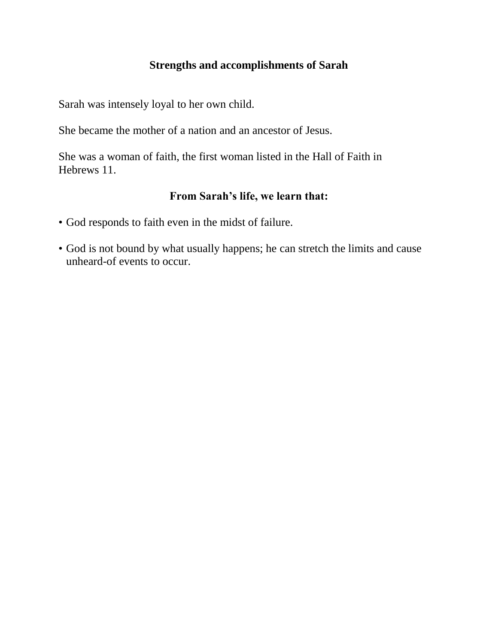# **Strengths and accomplishments of Sarah**

Sarah was intensely loyal to her own child.

She became the mother of a nation and an ancestor of Jesus.

She was a woman of faith, the first woman listed in the Hall of Faith in Hebrews 11.

# **From Sarah's life, we learn that:**

- God responds to faith even in the midst of failure.
- God is not bound by what usually happens; he can stretch the limits and cause unheard-of events to occur.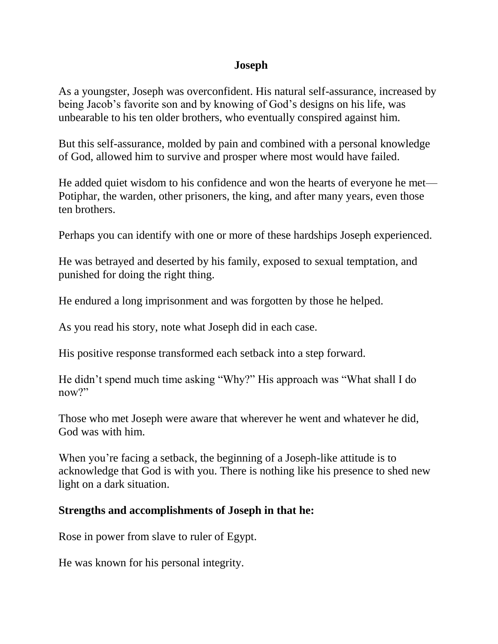## **Joseph**

As a youngster, Joseph was overconfident. His natural self-assurance, increased by being Jacob's favorite son and by knowing of God's designs on his life, was unbearable to his ten older brothers, who eventually conspired against him.

But this self-assurance, molded by pain and combined with a personal knowledge of God, allowed him to survive and prosper where most would have failed.

He added quiet wisdom to his confidence and won the hearts of everyone he met— Potiphar, the warden, other prisoners, the king, and after many years, even those ten brothers.

Perhaps you can identify with one or more of these hardships Joseph experienced.

He was betrayed and deserted by his family, exposed to sexual temptation, and punished for doing the right thing.

He endured a long imprisonment and was forgotten by those he helped.

As you read his story, note what Joseph did in each case.

His positive response transformed each setback into a step forward.

He didn't spend much time asking "Why?" His approach was "What shall I do now?"

Those who met Joseph were aware that wherever he went and whatever he did, God was with him.

When you're facing a setback, the beginning of a Joseph-like attitude is to acknowledge that God is with you. There is nothing like his presence to shed new light on a dark situation.

## **Strengths and accomplishments of Joseph in that he:**

Rose in power from slave to ruler of Egypt.

He was known for his personal integrity.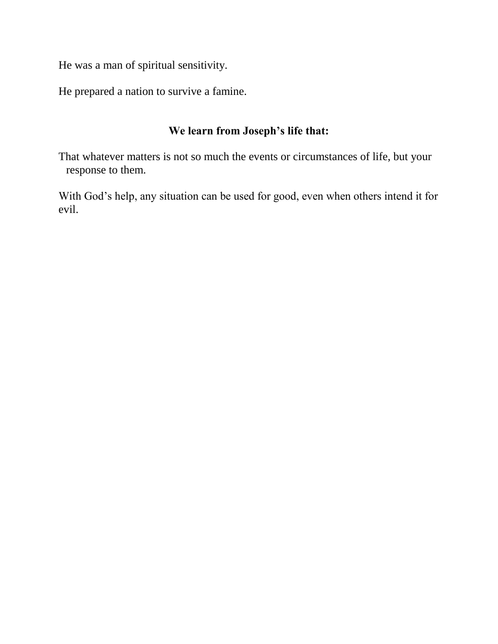He was a man of spiritual sensitivity.

He prepared a nation to survive a famine.

# **We learn from Joseph's life that:**

That whatever matters is not so much the events or circumstances of life, but your response to them.

With God's help, any situation can be used for good, even when others intend it for evil.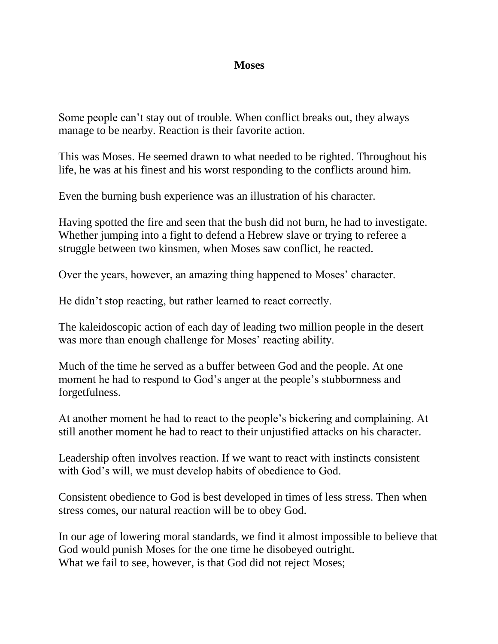#### **Moses**

Some people can't stay out of trouble. When conflict breaks out, they always manage to be nearby. Reaction is their favorite action.

This was Moses. He seemed drawn to what needed to be righted. Throughout his life, he was at his finest and his worst responding to the conflicts around him.

Even the burning bush experience was an illustration of his character.

Having spotted the fire and seen that the bush did not burn, he had to investigate. Whether jumping into a fight to defend a Hebrew slave or trying to referee a struggle between two kinsmen, when Moses saw conflict, he reacted.

Over the years, however, an amazing thing happened to Moses' character.

He didn't stop reacting, but rather learned to react correctly.

The kaleidoscopic action of each day of leading two million people in the desert was more than enough challenge for Moses' reacting ability.

Much of the time he served as a buffer between God and the people. At one moment he had to respond to God's anger at the people's stubbornness and forgetfulness.

At another moment he had to react to the people's bickering and complaining. At still another moment he had to react to their unjustified attacks on his character.

Leadership often involves reaction. If we want to react with instincts consistent with God's will, we must develop habits of obedience to God.

Consistent obedience to God is best developed in times of less stress. Then when stress comes, our natural reaction will be to obey God.

In our age of lowering moral standards, we find it almost impossible to believe that God would punish Moses for the one time he disobeyed outright. What we fail to see, however, is that God did not reject Moses;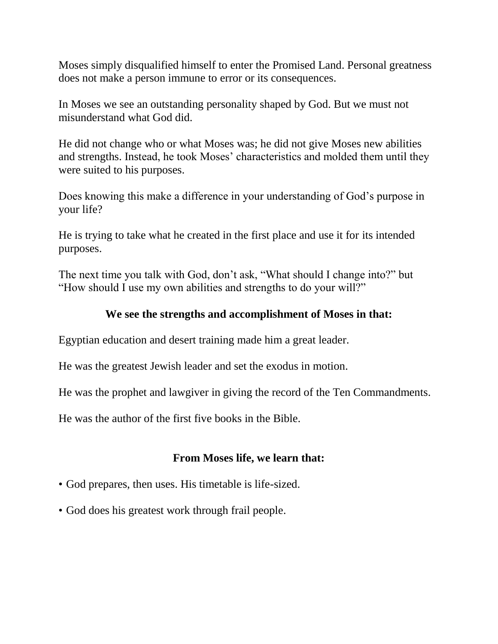Moses simply disqualified himself to enter the Promised Land. Personal greatness does not make a person immune to error or its consequences.

In Moses we see an outstanding personality shaped by God. But we must not misunderstand what God did.

He did not change who or what Moses was; he did not give Moses new abilities and strengths. Instead, he took Moses' characteristics and molded them until they were suited to his purposes.

Does knowing this make a difference in your understanding of God's purpose in your life?

He is trying to take what he created in the first place and use it for its intended purposes.

The next time you talk with God, don't ask, "What should I change into?" but "How should I use my own abilities and strengths to do your will?"

# **We see the strengths and accomplishment of Moses in that:**

Egyptian education and desert training made him a great leader.

He was the greatest Jewish leader and set the exodus in motion.

He was the prophet and lawgiver in giving the record of the Ten Commandments.

He was the author of the first five books in the Bible.

# **From Moses life, we learn that:**

- God prepares, then uses. His timetable is life-sized.
- God does his greatest work through frail people.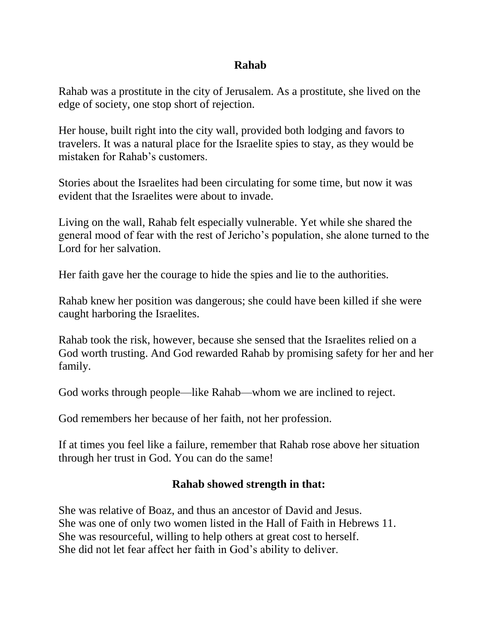## **Rahab**

Rahab was a prostitute in the city of Jerusalem. As a prostitute, she lived on the edge of society, one stop short of rejection.

Her house, built right into the city wall, provided both lodging and favors to travelers. It was a natural place for the Israelite spies to stay, as they would be mistaken for Rahab's customers.

Stories about the Israelites had been circulating for some time, but now it was evident that the Israelites were about to invade.

Living on the wall, Rahab felt especially vulnerable. Yet while she shared the general mood of fear with the rest of Jericho's population, she alone turned to the Lord for her salvation.

Her faith gave her the courage to hide the spies and lie to the authorities.

Rahab knew her position was dangerous; she could have been killed if she were caught harboring the Israelites.

Rahab took the risk, however, because she sensed that the Israelites relied on a God worth trusting. And God rewarded Rahab by promising safety for her and her family.

God works through people—like Rahab—whom we are inclined to reject.

God remembers her because of her faith, not her profession.

If at times you feel like a failure, remember that Rahab rose above her situation through her trust in God. You can do the same!

# **Rahab showed strength in that:**

She was relative of Boaz, and thus an ancestor of David and Jesus. She was one of only two women listed in the Hall of Faith in Hebrews 11. She was resourceful, willing to help others at great cost to herself. She did not let fear affect her faith in God's ability to deliver.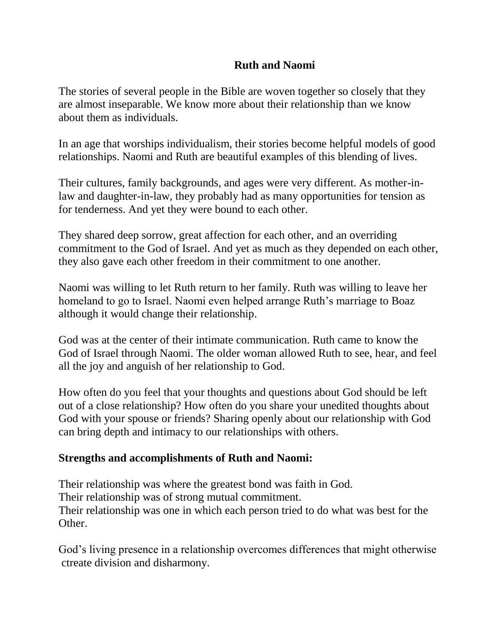# **Ruth and Naomi**

The stories of several people in the Bible are woven together so closely that they are almost inseparable. We know more about their relationship than we know about them as individuals.

In an age that worships individualism, their stories become helpful models of good relationships. Naomi and Ruth are beautiful examples of this blending of lives.

Their cultures, family backgrounds, and ages were very different. As mother-inlaw and daughter-in-law, they probably had as many opportunities for tension as for tenderness. And yet they were bound to each other.

They shared deep sorrow, great affection for each other, and an overriding commitment to the God of Israel. And yet as much as they depended on each other, they also gave each other freedom in their commitment to one another.

Naomi was willing to let Ruth return to her family. Ruth was willing to leave her homeland to go to Israel. Naomi even helped arrange Ruth's marriage to Boaz although it would change their relationship.

God was at the center of their intimate communication. Ruth came to know the God of Israel through Naomi. The older woman allowed Ruth to see, hear, and feel all the joy and anguish of her relationship to God.

How often do you feel that your thoughts and questions about God should be left out of a close relationship? How often do you share your unedited thoughts about God with your spouse or friends? Sharing openly about our relationship with God can bring depth and intimacy to our relationships with others.

# **Strengths and accomplishments of Ruth and Naomi:**

Their relationship was where the greatest bond was faith in God. Their relationship was of strong mutual commitment. Their relationship was one in which each person tried to do what was best for the Other.

God's living presence in a relationship overcomes differences that might otherwise ctreate division and disharmony.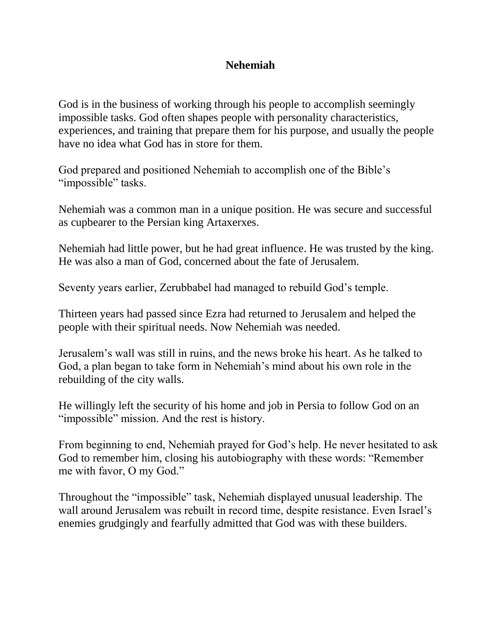# **Nehemiah**

God is in the business of working through his people to accomplish seemingly impossible tasks. God often shapes people with personality characteristics, experiences, and training that prepare them for his purpose, and usually the people have no idea what God has in store for them.

God prepared and positioned Nehemiah to accomplish one of the Bible's "impossible" tasks.

Nehemiah was a common man in a unique position. He was secure and successful as cupbearer to the Persian king Artaxerxes.

Nehemiah had little power, but he had great influence. He was trusted by the king. He was also a man of God, concerned about the fate of Jerusalem.

Seventy years earlier, Zerubbabel had managed to rebuild God's temple.

Thirteen years had passed since Ezra had returned to Jerusalem and helped the people with their spiritual needs. Now Nehemiah was needed.

Jerusalem's wall was still in ruins, and the news broke his heart. As he talked to God, a plan began to take form in Nehemiah's mind about his own role in the rebuilding of the city walls.

He willingly left the security of his home and job in Persia to follow God on an "impossible" mission. And the rest is history.

From beginning to end, Nehemiah prayed for God's help. He never hesitated to ask God to remember him, closing his autobiography with these words: "Remember me with favor, O my God."

Throughout the "impossible" task, Nehemiah displayed unusual leadership. The wall around Jerusalem was rebuilt in record time, despite resistance. Even Israel's enemies grudgingly and fearfully admitted that God was with these builders.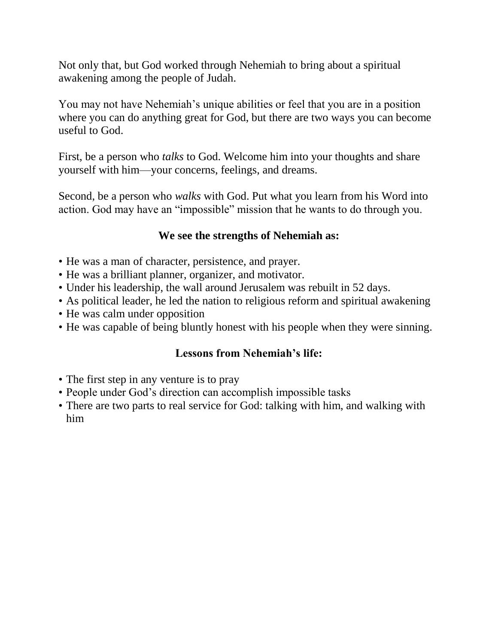Not only that, but God worked through Nehemiah to bring about a spiritual awakening among the people of Judah.

You may not have Nehemiah's unique abilities or feel that you are in a position where you can do anything great for God, but there are two ways you can become useful to God.

First, be a person who *talks* to God. Welcome him into your thoughts and share yourself with him—your concerns, feelings, and dreams.

Second, be a person who *walks* with God. Put what you learn from his Word into action. God may have an "impossible" mission that he wants to do through you.

# **We see the strengths of Nehemiah as:**

- He was a man of character, persistence, and prayer.
- He was a brilliant planner, organizer, and motivator.
- Under his leadership, the wall around Jerusalem was rebuilt in 52 days.
- As political leader, he led the nation to religious reform and spiritual awakening
- He was calm under opposition
- He was capable of being bluntly honest with his people when they were sinning.

## **Lessons from Nehemiah's life:**

- The first step in any venture is to pray
- People under God's direction can accomplish impossible tasks
- There are two parts to real service for God: talking with him, and walking with him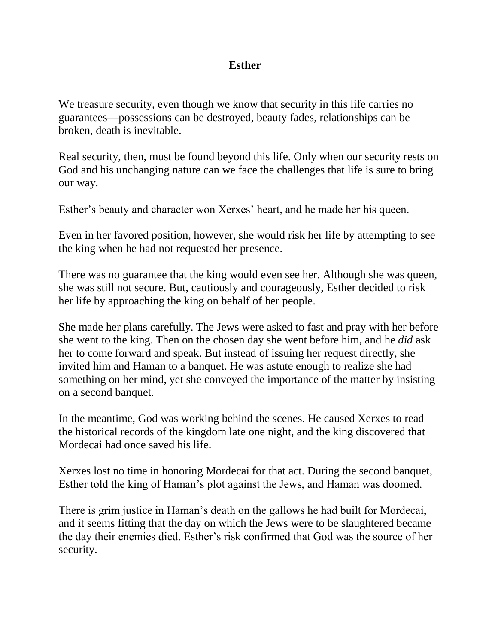## **Esther**

We treasure security, even though we know that security in this life carries no guarantees—possessions can be destroyed, beauty fades, relationships can be broken, death is inevitable.

Real security, then, must be found beyond this life. Only when our security rests on God and his unchanging nature can we face the challenges that life is sure to bring our way.

Esther's beauty and character won Xerxes' heart, and he made her his queen.

Even in her favored position, however, she would risk her life by attempting to see the king when he had not requested her presence.

There was no guarantee that the king would even see her. Although she was queen, she was still not secure. But, cautiously and courageously, Esther decided to risk her life by approaching the king on behalf of her people.

She made her plans carefully. The Jews were asked to fast and pray with her before she went to the king. Then on the chosen day she went before him, and he *did* ask her to come forward and speak. But instead of issuing her request directly, she invited him and Haman to a banquet. He was astute enough to realize she had something on her mind, yet she conveyed the importance of the matter by insisting on a second banquet.

In the meantime, God was working behind the scenes. He caused Xerxes to read the historical records of the kingdom late one night, and the king discovered that Mordecai had once saved his life.

Xerxes lost no time in honoring Mordecai for that act. During the second banquet, Esther told the king of Haman's plot against the Jews, and Haman was doomed.

There is grim justice in Haman's death on the gallows he had built for Mordecai, and it seems fitting that the day on which the Jews were to be slaughtered became the day their enemies died. Esther's risk confirmed that God was the source of her security.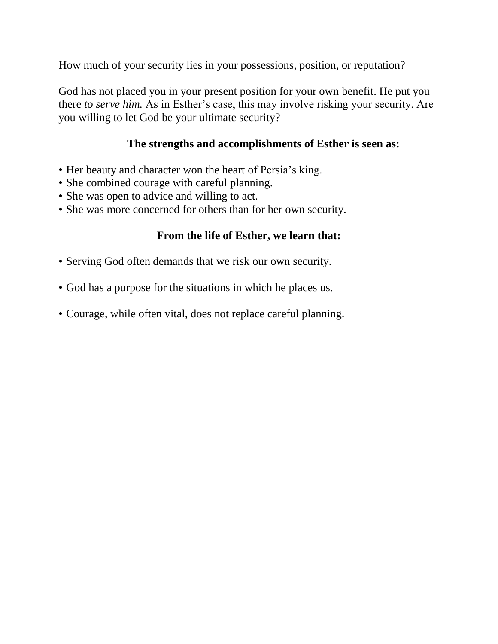How much of your security lies in your possessions, position, or reputation?

God has not placed you in your present position for your own benefit. He put you there *to serve him.* As in Esther's case, this may involve risking your security. Are you willing to let God be your ultimate security?

# **The strengths and accomplishments of Esther is seen as:**

- Her beauty and character won the heart of Persia's king.
- She combined courage with careful planning.
- She was open to advice and willing to act.
- She was more concerned for others than for her own security.

# **From the life of Esther, we learn that:**

- Serving God often demands that we risk our own security.
- God has a purpose for the situations in which he places us.
- Courage, while often vital, does not replace careful planning.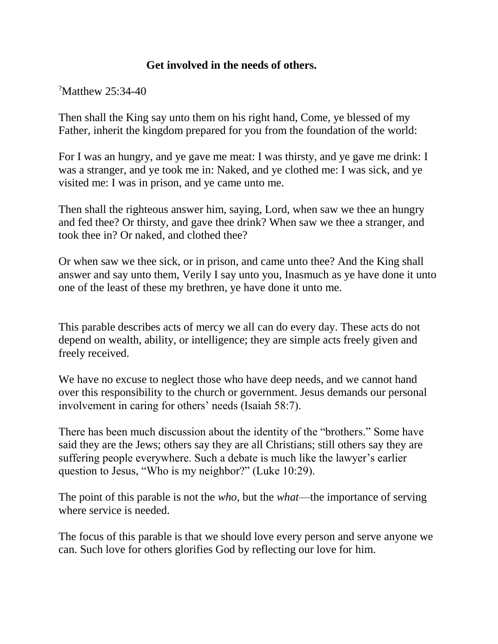# **Get involved in the needs of others.**

?Matthew 25:34-40

Then shall the King say unto them on his right hand, Come, ye blessed of my Father, inherit the kingdom prepared for you from the foundation of the world:

For I was an hungry, and ye gave me meat: I was thirsty, and ye gave me drink: I was a stranger, and ye took me in: Naked, and ye clothed me: I was sick, and ye visited me: I was in prison, and ye came unto me.

Then shall the righteous answer him, saying, Lord, when saw we thee an hungry and fed thee? Or thirsty, and gave thee drink? When saw we thee a stranger, and took thee in? Or naked, and clothed thee?

Or when saw we thee sick, or in prison, and came unto thee? And the King shall answer and say unto them, Verily I say unto you, Inasmuch as ye have done it unto one of the least of these my brethren, ye have done it unto me.

This parable describes acts of mercy we all can do every day. These acts do not depend on wealth, ability, or intelligence; they are simple acts freely given and freely received.

We have no excuse to neglect those who have deep needs, and we cannot hand over this responsibility to the church or government. Jesus demands our personal involvement in caring for others' needs (Isaiah 58:7).

There has been much discussion about the identity of the "brothers." Some have said they are the Jews; others say they are all Christians; still others say they are suffering people everywhere. Such a debate is much like the lawyer's earlier question to Jesus, "Who is my neighbor?" (Luke 10:29).

The point of this parable is not the *who,* but the *what*—the importance of serving where service is needed.

The focus of this parable is that we should love every person and serve anyone we can. Such love for others glorifies God by reflecting our love for him.